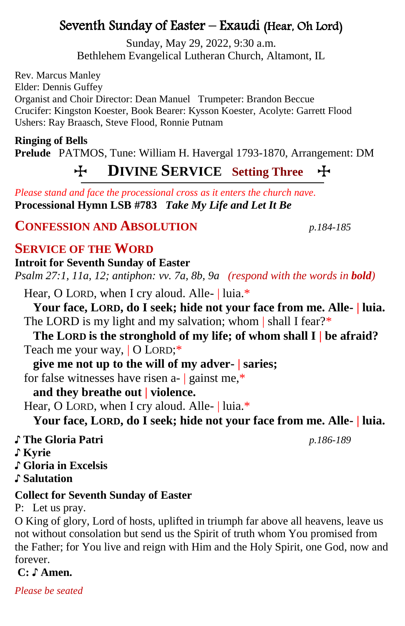# Seventh Sunday of Easter – Exaudi (Hear, Oh Lord)

Sunday, May 29, 2022, 9:30 a.m. Bethlehem Evangelical Lutheran Church, Altamont, IL

Rev. Marcus Manley Elder: Dennis Guffey Organist and Choir Director: Dean Manuel Trumpeter: Brandon Beccue Crucifer: Kingston Koester, Book Bearer: Kysson Koester, Acolyte: Garrett Flood Ushers: Ray Braasch, Steve Flood, Ronnie Putnam

**Ringing of Bells Prelude** PATMOS, Tune: William H. Havergal 1793-1870, Arrangement: DM

# T **DIVINE SERVICE Setting Three** T

*Please stand and face the processional cross as it enters the church nave.* **Processional Hymn LSB #783** *Take My Life and Let It Be*

# **CONFESSION AND ABSOLUTION** *p.184-185*

# **SERVICE OF THE WORD**

**Introit for Seventh Sunday of Easter** *Psalm 27:1, 11a, 12; antiphon: vv. 7a, 8b, 9a (respond with the words in bold)* 

Hear, O LORD, when I cry aloud. Alle- | luia.\*

**Your face, LORD, do I seek; hide not your face from me. Alle- | luia.** The LORD is my light and my salvation; whom | shall I fear?\*

**The LORD is the stronghold of my life; of whom shall I | be afraid?** Teach me your way, | O LORD;\*

**give me not up to the will of my adver- | saries;**

for false witnesses have risen a- | gainst me,\*

# **and they breathe out | violence.**

Hear, O LORD, when I cry aloud. Alle- | luia.\*

**Your face, LORD, do I seek; hide not your face from me. Alle- | luia.**

| ♪ The Gloria Patri | p.186-189 |
|--------------------|-----------|
|                    |           |

♪ **Kyrie**

♪ **Gloria in Excelsis** 

♪ **Salutation**

# **Collect for Seventh Sunday of Easter**

P: Let us pray.

O King of glory, Lord of hosts, uplifted in triumph far above all heavens, leave us not without consolation but send us the Spirit of truth whom You promised from the Father; for You live and reign with Him and the Holy Spirit, one God, now and forever.

**C:** ♪ **Amen.**

*Please be seated*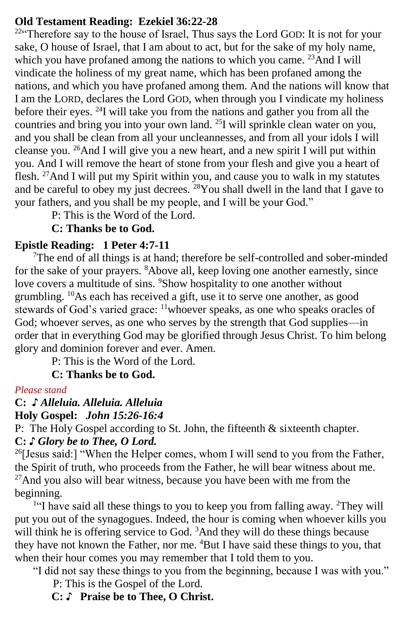### **Old Testament Reading: Ezekiel 36:22-28**

 $22^{\circ}$ . Therefore say to the house of Israel, Thus says the Lord GOD: It is not for your sake, O house of Israel, that I am about to act, but for the sake of my holy name, which you have profaned among the nations to which you came. <sup>23</sup>And I will vindicate the holiness of my great name, which has been profaned among the nations, and which you have profaned among them. And the nations will know that I am the LORD, declares the Lord GOD, when through you I vindicate my holiness before their eyes. <sup>24</sup>I will take you from the nations and gather you from all the countries and bring you into your own land. <sup>25</sup>I will sprinkle clean water on you, and you shall be clean from all your uncleannesses, and from all your idols I will cleanse you. <sup>26</sup>And I will give you a new heart, and a new spirit I will put within you. And I will remove the heart of stone from your flesh and give you a heart of flesh.  $27$ And I will put my Spirit within you, and cause you to walk in my statutes and be careful to obey my just decrees.  $^{28}$ You shall dwell in the land that I gave to your fathers, and you shall be my people, and I will be your God."

P: This is the Word of the Lord.

## **C: Thanks be to God.**

## **Epistle Reading:****1 Peter 4:7-11**

<sup>7</sup>The end of all things is at hand; therefore be self-controlled and sober-minded for the sake of your prayers. <sup>8</sup>Above all, keep loving one another earnestly, since love covers a multitude of sins. <sup>9</sup>Show hospitality to one another without grumbling. <sup>10</sup>As each has received a gift, use it to serve one another, as good stewards of God's varied grace: <sup>11</sup>whoever speaks, as one who speaks oracles of God; whoever serves, as one who serves by the strength that God supplies—in order that in everything God may be glorified through Jesus Christ. To him belong glory and dominion forever and ever. Amen.

P: This is the Word of the Lord.

# **C: Thanks be to God.**

### *Please stand*

# **C:** *♪ Alleluia. Alleluia. Alleluia*

## **Holy Gospel:** *John 15:26-16:4*

P: The Holy Gospel according to St. John, the fifteenth & sixteenth chapter. **C:** *♪ Glory be to Thee, O Lord.*

<sup>26</sup>[Jesus said:] "When the Helper comes, whom I will send to you from the Father, the Spirit of truth, who proceeds from the Father, he will bear witness about me. <sup>27</sup>And you also will bear witness, because you have been with me from the beginning.

<sup>1"</sup>I have said all these things to you to keep you from falling away. <sup>2</sup>They will put you out of the synagogues. Indeed, the hour is coming when whoever kills you will think he is offering service to God. <sup>3</sup>And they will do these things because they have not known the Father, nor me. <sup>4</sup>But I have said these things to you, that when their hour comes you may remember that I told them to you.

"I did not say these things to you from the beginning, because I was with you." P: This is the Gospel of the Lord.

**C: ♪ Praise be to Thee, O Christ.**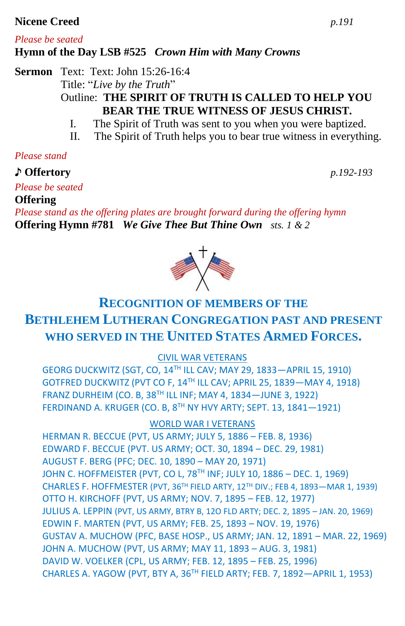### **Nicene Creed** *p.191*

### *Please be seated* **Hymn of the Day LSB #525** *Crown Him with Many Crowns*

**Sermon** Text: Text: John 15:26-16:4 Title: "*Live by the Truth*" Outline: **THE SPIRIT OF TRUTH IS CALLED TO HELP YOU BEAR THE TRUE WITNESS OF JESUS CHRIST.**

- I. The Spirit of Truth was sent to you when you were baptized.
- II. The Spirit of Truth helps you to bear true witness in everything.

## *Please stand*

♪ **Offertory** *p.192-193*

# *Please be seated*

**Offering** 

*Please stand as the offering plates are brought forward during the offering hymn* **Offering Hymn #781** *We Give Thee But Thine Own sts. 1 & 2*

# **RECOGNITION OF MEMBERS OF THE BETHLEHEM LUTHERAN CONGREGATION PAST AND PRESENT WHO SERVED IN THE UNITED STATES ARMED FORCES.**

CIVIL WAR VETERANS

GEORG DUCKWITZ (SGT, CO, 14TH ILL CAV; MAY 29, 1833—APRIL 15, 1910) GOTFRED DUCKWITZ (PVT CO F, 14TH ILL CAV; APRIL 25, 1839—MAY 4, 1918) FRANZ DURHEIM (CO. B, 38TH ILL INF; MAY 4, 1834—JUNE 3, 1922) FERDINAND A. KRUGER (CO. B, 8TH NY HVY ARTY; SEPT. 13, 1841—1921)

WORLD WAR I VETERANS

HERMAN R. BECCUE (PVT, US ARMY; JULY 5, 1886 – FEB. 8, 1936) EDWARD F. BECCUE (PVT. US ARMY; OCT. 30, 1894 – DEC. 29, 1981) AUGUST F. BERG (PFC; DEC. 10, 1890 – MAY 20, 1971) JOHN C. HOFFMEISTER (PVT, CO L, 78<sup>TH</sup> INF; JULY 10, 1886 – DEC. 1, 1969) CHARLES F. HOFFMESTER (PVT, 36TH FIELD ARTY, 12TH DIV.; FEB 4, 1893—MAR 1, 1939) OTTO H. KIRCHOFF (PVT, US ARMY; NOV. 7, 1895 – FEB. 12, 1977) JULIUS A. LEPPIN (PVT, US ARMY, BTRY B, 12O FLD ARTY; DEC. 2, 1895 – JAN. 20, 1969) EDWIN F. MARTEN (PVT, US ARMY; FEB. 25, 1893 – NOV. 19, 1976) GUSTAV A. MUCHOW (PFC, BASE HOSP., US ARMY; JAN. 12, 1891 – MAR. 22, 1969) JOHN A. MUCHOW (PVT, US ARMY; MAY 11, 1893 – AUG. 3, 1981) DAVID W. VOELKER (CPL, US ARMY; FEB. 12, 1895 – FEB. 25, 1996) CHARLES A. YAGOW (PVT, BTY A, 36TH FIELD ARTY; FEB. 7, 1892—APRIL 1, 1953)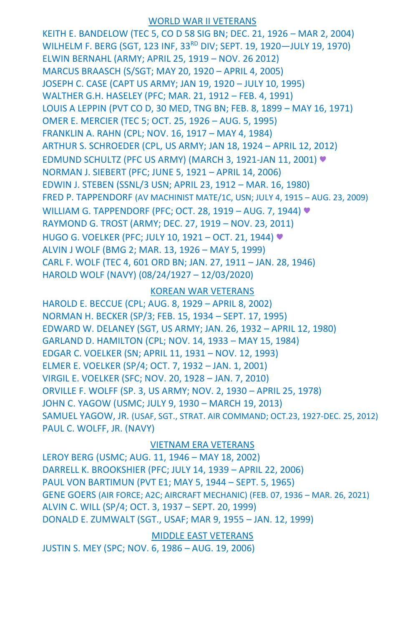### WORLD WAR II VETERANS

KEITH E. BANDELOW (TEC 5, CO D 58 SIG BN; DEC. 21, 1926 – MAR 2, 2004) WILHELM F. BERG (SGT, 123 INF, 33<sup>RD</sup> DIV; SEPT. 19, 1920-JULY 19, 1970) ELWIN BERNAHL (ARMY; APRIL 25, 1919 – NOV. 26 2012) MARCUS BRAASCH (S/SGT; MAY 20, 1920 – APRIL 4, 2005) JOSEPH C. CASE (CAPT US ARMY; JAN 19, 1920 – JULY 10, 1995) WALTHER G.H. HASELEY (PFC; MAR. 21, 1912 – FEB. 4, 1991) LOUIS A LEPPIN (PVT CO D, 30 MED, TNG BN; FEB. 8, 1899 – MAY 16, 1971) OMER E. MERCIER (TEC 5; OCT. 25, 1926 – AUG. 5, 1995) FRANKLIN A. RAHN (CPL; NOV. 16, 1917 – MAY 4, 1984) ARTHUR S. SCHROEDER (CPL, US ARMY; JAN 18, 1924 – APRIL 12, 2012) EDMUND SCHULTZ (PFC US ARMY) (MARCH 3, 1921-JAN 11, 2001) ♥ NORMAN J. SIEBERT (PFC; JUNE 5, 1921 – APRIL 14, 2006) EDWIN J. STEBEN (SSNL/3 USN; APRIL 23, 1912 – MAR. 16, 1980) FRED P. TAPPENDORF (AV MACHINIST MATE/1C, USN; JULY 4, 1915 – AUG. 23, 2009) WILLIAM G. TAPPENDORF (PFC; OCT. 28, 1919 – AUG. 7, 1944) ♥ RAYMOND G. TROST (ARMY; DEC. 27, 1919 – NOV. 23, 2011) HUGO G. VOELKER (PFC; JULY 10, 1921 – OCT. 21, 1944) ♥ ALVIN J WOLF (BMG 2; MAR. 13, 1926 – MAY 5, 1999) CARL F. WOLF (TEC 4, 601 ORD BN; JAN. 27, 1911 – JAN. 28, 1946) HAROLD WOLF (NAVY) (08/24/1927 – 12/03/2020)

### KOREAN WAR VETERANS

HAROLD E. BECCUE (CPL; AUG. 8, 1929 – APRIL 8, 2002) NORMAN H. BECKER (SP/3; FEB. 15, 1934 – SEPT. 17, 1995) EDWARD W. DELANEY (SGT, US ARMY; JAN. 26, 1932 – APRIL 12, 1980) GARLAND D. HAMILTON (CPL; NOV. 14, 1933 – MAY 15, 1984) EDGAR C. VOELKER (SN; APRIL 11, 1931 – NOV. 12, 1993) ELMER E. VOELKER (SP/4; OCT. 7, 1932 – JAN. 1, 2001) VIRGIL E. VOELKER (SFC; NOV. 20, 1928 – JAN. 7, 2010) ORVILLE F. WOLFF (SP. 3, US ARMY; NOV. 2, 1930 – APRIL 25, 1978) JOHN C. YAGOW (USMC; JULY 9, 1930 – MARCH 19, 2013) SAMUEL YAGOW, JR. (USAF, SGT., STRAT. AIR COMMAND; OCT.23, 1927-DEC. 25, 2012) PAUL C. WOLFF, JR. (NAVY)

### VIETNAM ERA VETERANS

LEROY BERG (USMC; AUG. 11, 1946 – MAY 18, 2002) DARRELL K. BROOKSHIER (PFC; JULY 14, 1939 – APRIL 22, 2006) PAUL VON BARTIMUN (PVT E1; MAY 5, 1944 – SEPT. 5, 1965) GENE GOERS (AIR FORCE; A2C; AIRCRAFT MECHANIC) (FEB. 07, 1936 – MAR. 26, 2021) ALVIN C. WILL (SP/4; OCT. 3, 1937 – SEPT. 20, 1999) DONALD E. ZUMWALT (SGT., USAF; MAR 9, 1955 – JAN. 12, 1999)

MIDDLE EAST VETERANS

JUSTIN S. MEY (SPC; NOV. 6, 1986 – AUG. 19, 2006)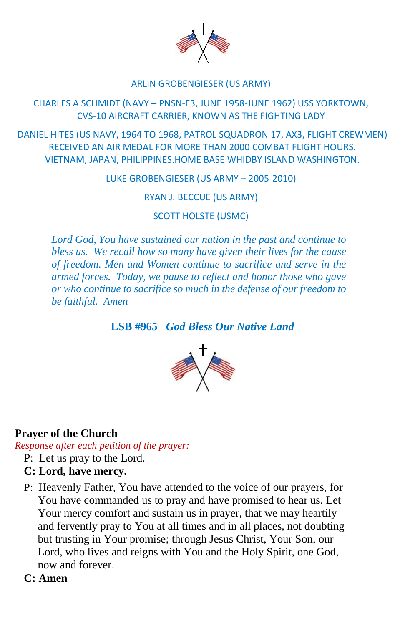

### ARLIN GROBENGIESER (US ARMY)

### CHARLES A SCHMIDT (NAVY – PNSN-E3, JUNE 1958-JUNE 1962) USS YORKTOWN, CVS-10 AIRCRAFT CARRIER, KNOWN AS THE FIGHTING LADY

DANIEL HITES (US NAVY, 1964 TO 1968, PATROL SQUADRON 17, AX3, FLIGHT CREWMEN) RECEIVED AN AIR MEDAL FOR MORE THAN 2000 COMBAT FLIGHT HOURS. VIETNAM, JAPAN, PHILIPPINES.HOME BASE WHIDBY ISLAND WASHINGTON.

LUKE GROBENGIESER (US ARMY – 2005-2010)

RYAN J. BECCUE (US ARMY)

SCOTT HOLSTE (USMC)

*Lord God, You have sustained our nation in the past and continue to bless us. We recall how so many have given their lives for the cause of freedom. Men and Women continue to sacrifice and serve in the armed forces. Today, we pause to reflect and honor those who gave or who continue to sacrifice so much in the defense of our freedom to be faithful. Amen*

**LSB #965** *God Bless Our Native Land*



### **Prayer of the Church**

*Response after each petition of the prayer:*

- P: Let us pray to the Lord.
- **C: Lord, have mercy.**
- P: Heavenly Father, You have attended to the voice of our prayers, for You have commanded us to pray and have promised to hear us. Let Your mercy comfort and sustain us in prayer, that we may heartily and fervently pray to You at all times and in all places, not doubting but trusting in Your promise; through Jesus Christ, Your Son, our Lord, who lives and reigns with You and the Holy Spirit, one God, now and forever.
- **C: Amen**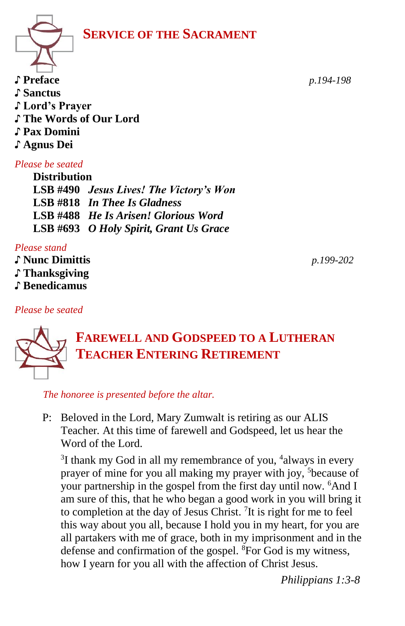**SERVICE OF THE SACRAMENT**



♪ **Preface** *p.194-198* ♪ **Sanctus** ♪ **Lord's Prayer** ♪ **The Words of Our Lord**  ♪ **Pax Domini** ♪ **Agnus Dei** 

## *Please be seated*

**Distribution LSB #490** *Jesus Lives! The Victory's Won* **LSB #818** *In Thee Is Gladness* **LSB #488** *He Is Arisen! Glorious Word* **LSB #693** *O Holy Spirit, Grant Us Grace*

*Please stand*

♪ **Nunc Dimittis** *p.199-202* ♪ **Thanksgiving**

♪ **Benedicamus**

### *Please be seated*



# **FAREWELL AND GODSPEED TO A LUTHERAN TEACHER ENTERING RETIREMENT**

 *The honoree is presented before the altar.* 

P: Beloved in the Lord*,* Mary Zumwalt is retiring as our ALIS Teacher*.* At this time of farewell and Godspeed, let us hear the Word of the Lord.

 $3$ I thank my God in all my remembrance of you,  $4$ always in every prayer of mine for you all making my prayer with joy, <sup>5</sup>because of your partnership in the gospel from the first day until now. <sup>6</sup>And I am sure of this, that he who began a good work in you will bring it to completion at the day of Jesus Christ. <sup>7</sup>It is right for me to feel this way about you all, because I hold you in my heart, for you are all partakers with me of grace, both in my imprisonment and in the defense and confirmation of the gospel. <sup>8</sup>For God is my witness, how I yearn for you all with the affection of Christ Jesus.

*Philippians 1:3-8*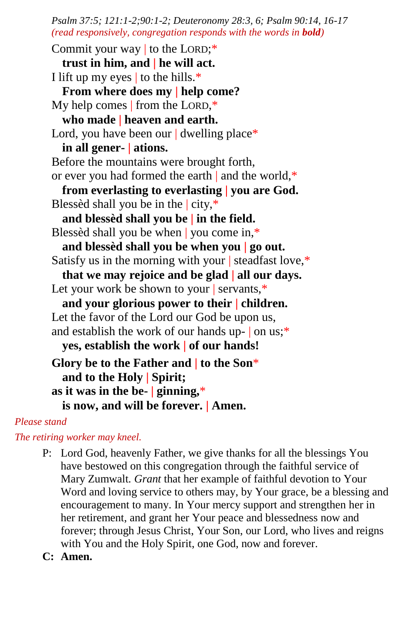*Psalm 37:5; 121:1-2;90:1-2; Deuteronomy 28:3, 6; Psalm 90:14, 16-17 (read responsively, congregation responds with the words in bold)*

Commit your way | to the LORD;\* **trust in him, and | he will act.** I lift up my eyes  $\vert$  to the hills.\* **From where does my | help come?** My help comes | from the LORD,\* **who made | heaven and earth.** Lord, you have been our | dwelling place\* **in all gener- | ations.** Before the mountains were brought forth, or ever you had formed the earth | and the world,\* **from everlasting to everlasting | you are God.** Blessèd shall you be in the  $\vert$  city, $\ast$ **and blessèd shall you be | in the field.** Blessèd shall you be when | you come in,\* **and blessèd shall you be when you | go out.** Satisfy us in the morning with your | steadfast love,\* **that we may rejoice and be glad | all our days.** Let your work be shown to your | servants,\* **and your glorious power to their | children.** Let the favor of the Lord our God be upon us, and establish the work of our hands up- | on us;\* **yes, establish the work | of our hands! Glory be to the Father and | to the Son**\* **and to the Holy | Spirit; as it was in the be- | ginning,**\* **is now, and will be forever. | Amen.**

### *Please stand*

*The retiring worker may kneel.*

- P: Lord God, heavenly Father, we give thanks for all the blessings You have bestowed on this congregation through the faithful service of Mary Zumwalt*. Grant* that her example of faithful devotion to Your Word and loving service to others may, by Your grace, be a blessing and encouragement to many. In Your mercy support and strengthen her in her retirement, and grant her Your peace and blessedness now and forever; through Jesus Christ, Your Son, our Lord, who lives and reigns with You and the Holy Spirit, one God, now and forever.
- **C: Amen.**